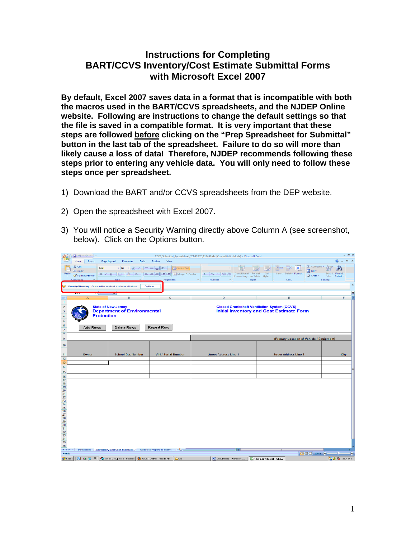## **Instructions for Completing BART/CCVS Inventory/Cost Estimate Submittal Forms with Microsoft Excel 2007**

**By default, Excel 2007 saves data in a format that is incompatible with both the macros used in the BART/CCVS spreadsheets, and the NJDEP Online website. Following are instructions to change the default settings so that the file is saved in a compatible format. It is very important that these steps are followed before clicking on the "Prep Spreadsheet for Submittal" button in the last tab of the spreadsheet. Failure to do so will more than likely cause a loss of data! Therefore, NJDEP recommends following these steps prior to entering any vehicle data. You will only need to follow these steps once per spreadsheet.** 

- 1) Download the BART and/or CCVS spreadsheets from the DEP website.
- 2) Open the spreadsheet with Excel 2007.
- 3) You will notice a Security Warning directly above Column A (see screenshot, below). Click on the Options button.

| ß                                                                                                          |                                                         |                                                                                                                                     |                                                            | CCVS_Submittal_Spreadsheet_TEMPLATE_111407.xls [Compatibility Mode] - Microsoft Excel                       |                                                                                                       | $ \sigma$ $\times$                 |
|------------------------------------------------------------------------------------------------------------|---------------------------------------------------------|-------------------------------------------------------------------------------------------------------------------------------------|------------------------------------------------------------|-------------------------------------------------------------------------------------------------------------|-------------------------------------------------------------------------------------------------------|------------------------------------|
|                                                                                                            | Home<br>Insert                                          | Page Layout<br>Formulas<br>Data                                                                                                     | Review<br>View                                             |                                                                                                             |                                                                                                       | $\circledcirc$<br>$\mathbb{Z}$ X   |
| Paste                                                                                                      | & Cut<br>Arial<br><b>Ea</b> Copy<br>Format Painter      | $\cdot$ 10 $\cdot$ A $\Lambda$<br>$B$ $I$ $U$ $  $ $  $ $\rightarrow$ $  $ $\rightarrow$ $  $ $\rightarrow$ $  $ $\rightarrow$ $  $ | <u> = = ☆</u><br>Wrap Text-<br>돌 등 돌 물 운<br>Merge & Center | Conditional Format<br>$$ - \frac{9}{6}$ , $\frac{1}{36}$ $\frac{0}{60}$<br>Formatting * as Table * Styles * | Σ AutoSum *<br><b>D</b> Fill<br>Cell<br>Insert<br>Delete Format<br>2 Clear *<br>$\sim$                | Sort & Find &<br>Filter * Select * |
|                                                                                                            | Clinhoard                                               |                                                                                                                                     | Alignment                                                  | Fs:<br>Number<br>反<br><b>Styles</b>                                                                         | Cells                                                                                                 | Editing                            |
| G                                                                                                          | Security Warning Some active content has been disabled. |                                                                                                                                     | Options                                                    |                                                                                                             |                                                                                                       | $\times$                           |
|                                                                                                            | <b>A15</b>                                              | $J^{\infty}$                                                                                                                        |                                                            |                                                                                                             |                                                                                                       | $\mathbf{v}$                       |
|                                                                                                            | $\overline{A}$                                          | B                                                                                                                                   | $\mathbf{C}$                                               | D                                                                                                           | E                                                                                                     | F                                  |
| $\mathbf{1}$<br>$\overline{2}$<br>$\mathsf 3$<br>$\sqrt{4}$<br>$\sqrt{5}$<br>$\mathbf 6$<br>$\overline{7}$ | <b>Protection</b><br><b>Add Rows</b>                    | <b>State of New Jersey</b><br><b>Department of Environmental</b><br>Delete Rows                                                     | <b>Repeat Row</b>                                          |                                                                                                             | <b>Closed Crankshaft Ventilation System (CCVS)</b><br><b>Initial Inventory and Cost Estimate Form</b> |                                    |
| $\delta$<br>$\overline{9}$                                                                                 |                                                         |                                                                                                                                     |                                                            |                                                                                                             |                                                                                                       |                                    |
|                                                                                                            |                                                         |                                                                                                                                     |                                                            |                                                                                                             | (Primary Location of Vehicle / Equipment)                                                             |                                    |
| 10                                                                                                         |                                                         |                                                                                                                                     |                                                            |                                                                                                             |                                                                                                       |                                    |
| 11                                                                                                         | Owner                                                   | <b>School Bus Number</b>                                                                                                            | <b>VIN / Serial Number</b>                                 | <b>Street Address Line 1</b>                                                                                | <b>Street Address Line 2</b>                                                                          | <b>City</b>                        |
| 12<br>13                                                                                                   |                                                         |                                                                                                                                     |                                                            |                                                                                                             |                                                                                                       |                                    |
| 14                                                                                                         |                                                         |                                                                                                                                     |                                                            |                                                                                                             |                                                                                                       |                                    |
| 15                                                                                                         |                                                         |                                                                                                                                     |                                                            |                                                                                                             |                                                                                                       |                                    |
| 16                                                                                                         |                                                         |                                                                                                                                     |                                                            |                                                                                                             |                                                                                                       |                                    |
| 17<br>18                                                                                                   |                                                         |                                                                                                                                     |                                                            |                                                                                                             |                                                                                                       |                                    |
| 19<br>20                                                                                                   |                                                         |                                                                                                                                     |                                                            |                                                                                                             |                                                                                                       |                                    |
| 21                                                                                                         |                                                         |                                                                                                                                     |                                                            |                                                                                                             |                                                                                                       |                                    |
| 22<br>23                                                                                                   |                                                         |                                                                                                                                     |                                                            |                                                                                                             |                                                                                                       |                                    |
| 24                                                                                                         |                                                         |                                                                                                                                     |                                                            |                                                                                                             |                                                                                                       |                                    |
| 25<br>26                                                                                                   |                                                         |                                                                                                                                     |                                                            |                                                                                                             |                                                                                                       |                                    |
| 27                                                                                                         |                                                         |                                                                                                                                     |                                                            |                                                                                                             |                                                                                                       |                                    |
| 28<br>29                                                                                                   |                                                         |                                                                                                                                     |                                                            |                                                                                                             |                                                                                                       |                                    |
| 30<br>31                                                                                                   |                                                         |                                                                                                                                     |                                                            |                                                                                                             |                                                                                                       |                                    |
| $\overline{32}$                                                                                            |                                                         |                                                                                                                                     |                                                            |                                                                                                             |                                                                                                       |                                    |
| 33<br>34                                                                                                   |                                                         |                                                                                                                                     |                                                            |                                                                                                             |                                                                                                       |                                    |
| 35                                                                                                         |                                                         |                                                                                                                                     |                                                            |                                                                                                             |                                                                                                       |                                    |
| 36<br>$H + H$                                                                                              |                                                         | Instructions Inventory and Cost Estimate Validate & Prepare to Submit                                                               | ∕९⊐.                                                       |                                                                                                             |                                                                                                       |                                    |
| Ready                                                                                                      |                                                         |                                                                                                                                     |                                                            |                                                                                                             |                                                                                                       | -0-<br>$(+)$                       |
| <b>B</b> Start                                                                                             |                                                         | <b>B D P P P O</b> Novel GroupWise - Mailbox <b>B</b> NJDEP Online - Mozilla Fir                                                    | <b>€</b> 23                                                | Document1 - Microsoft                                                                                       | Nicrosoft Excel - CCV                                                                                 | 2 3:24 PM                          |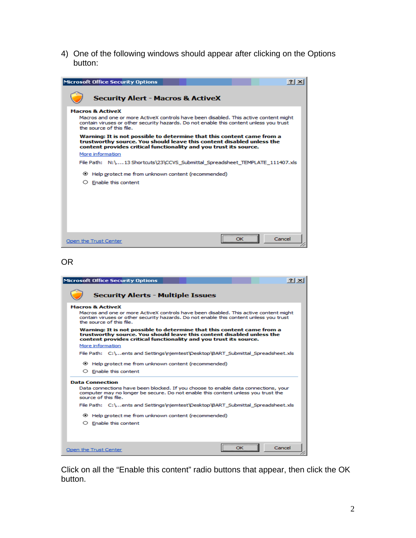4) One of the following windows should appear after clicking on the Options button:

| <b>Microsoft Office Security Options</b>                                                                                                                                                                                                   |
|--------------------------------------------------------------------------------------------------------------------------------------------------------------------------------------------------------------------------------------------|
| <b>Security Alert - Macros &amp; ActiveX</b>                                                                                                                                                                                               |
| <b>Macros &amp; ActiveX</b><br>Macros and one or more ActiveX controls have been disabled. This active content might<br>contain viruses or other security hazards. Do not enable this content unless you trust<br>the source of this file. |
| Warning: It is not possible to determine that this content came from a<br>trustworthy source. You should leave this content disabled unless the<br>content provides critical functionality and you trust its source.                       |
| More information                                                                                                                                                                                                                           |
| File Path: N:\13 Shortcuts\23\CCVS_Submittal_Spreadsheet_TEMPLATE_111407.xls                                                                                                                                                               |
| Help protect me from unknown content (recommended)                                                                                                                                                                                         |
| $\circ$ Enable this content                                                                                                                                                                                                                |
|                                                                                                                                                                                                                                            |
|                                                                                                                                                                                                                                            |
|                                                                                                                                                                                                                                            |
|                                                                                                                                                                                                                                            |
|                                                                                                                                                                                                                                            |
| Cancel<br>Open the Trust Center                                                                                                                                                                                                            |

## OR

| <b>Microsoft Office Security Options</b><br>$\frac{1}{2}$ $\times$                                                                                                                                                                         |
|--------------------------------------------------------------------------------------------------------------------------------------------------------------------------------------------------------------------------------------------|
| <b>Security Alerts - Multiple Issues</b>                                                                                                                                                                                                   |
| <b>Macros &amp; ActiveX</b><br>Macros and one or more ActiveX controls have been disabled. This active content might<br>contain viruses or other security hazards. Do not enable this content unless you trust<br>the source of this file. |
| Warning: It is not possible to determine that this content came from a<br>trustworthy source. You should leave this content disabled unless the<br>content provides critical functionality and you trust its source.                       |
| More information                                                                                                                                                                                                                           |
| File Path: C:\ents and Settings\niemtest\Desktop\BART Submittal Spreadsheet.xls                                                                                                                                                            |
| Help protect me from unknown content (recommended)<br>$\circ$ Enable this content                                                                                                                                                          |
| <b>Data Connection</b><br>Data connections have been blocked. If you choose to enable data connections, your<br>computer may no longer be secure. Do not enable this content unless you trust the<br>source of this file.                  |
| File Path: C:\ents and Settings\njemtest\Desktop\BART Submittal Spreadsheet.xls                                                                                                                                                            |
| Help protect me from unknown content (recommended)                                                                                                                                                                                         |
| $\circ$ Enable this content                                                                                                                                                                                                                |
| <br>Cancel<br>ОΚ<br>Open the Trust Center                                                                                                                                                                                                  |

Click on all the "Enable this content" radio buttons that appear, then click the OK button.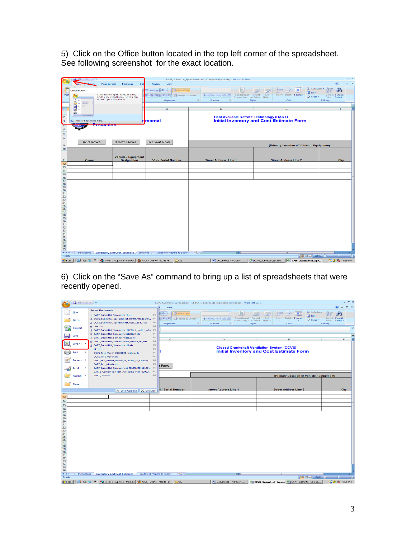5) Click on the Office button located in the top left corner of the spreadsheet. See following screenshot for the exact location.

|                                        |                                |                                                              |                              |                                                                       |                                                                                                     |                    |                                            |                                                                           |                                            |                              | $  \times$     |  |  |
|----------------------------------------|--------------------------------|--------------------------------------------------------------|------------------------------|-----------------------------------------------------------------------|-----------------------------------------------------------------------------------------------------|--------------------|--------------------------------------------|---------------------------------------------------------------------------|--------------------------------------------|------------------------------|----------------|--|--|
|                                        |                                |                                                              |                              | BART_Submittal_Spreadsheet.xls [Compatibility Mode] - Microsoft Excel |                                                                                                     |                    |                                            |                                                                           |                                            | ۵                            | $\pi$ $\times$ |  |  |
|                                        | ome                            | Page Layout<br>Dat<br><b>Formulas</b>                        | <b>Review</b><br>View        |                                                                       |                                                                                                     |                    |                                            |                                                                           |                                            |                              |                |  |  |
|                                        | <b>Office Button</b>           |                                                              | $= -1$                       | Wrap Text                                                             |                                                                                                     |                    |                                            |                                                                           | Σ AutoSum -                                | đ.                           |                |  |  |
| Past                                   |                                | Click here to open, save, or print,                          | 建建                           | Merge & Center                                                        | $8 - 96 - 138 - 00$                                                                                 | Conditional Format | Cell                                       | <b>Insert Delete Format</b>                                               | Fill *                                     | Sort & Find &                |                |  |  |
|                                        | n -                            | and to see everything else you can<br>do with your document. | Alignment                    | <b>G</b>                                                              | Number<br><b>IT'S</b>                                                                               |                    | Formatting * as Table * Styles *<br>Styles | Cells                                                                     | $\mathbb Z$ Clear $\overline{\phantom{a}}$ | Filter * Select *<br>Editing |                |  |  |
|                                        | 2                              |                                                              |                              |                                                                       |                                                                                                     |                    |                                            |                                                                           |                                            |                              | ×              |  |  |
|                                        | u -                            |                                                              | $\overline{c}$               |                                                                       | D                                                                                                   |                    |                                            | Ε                                                                         |                                            | F                            |                |  |  |
| l 1                                    | 恳<br><b>A</b>                  |                                                              |                              |                                                                       |                                                                                                     |                    |                                            |                                                                           |                                            |                              |                |  |  |
| $\vert$ <sub>2</sub>                   |                                |                                                              |                              |                                                                       |                                                                                                     |                    |                                            |                                                                           |                                            |                              |                |  |  |
| $\left  \cdot \right $                 | ◉<br>Press F1 for more help.   |                                                              | <b>r</b> mental              |                                                                       | <b>Best Available Retrofit Technology (BART)</b><br><b>Initial Inventory and Cost Estimate Form</b> |                    |                                            |                                                                           |                                            |                              |                |  |  |
| $\overline{4}$                         | <u> FIOICCHON</u>              |                                                              |                              |                                                                       |                                                                                                     |                    |                                            |                                                                           |                                            |                              |                |  |  |
| $\overline{5}$                         |                                |                                                              |                              |                                                                       |                                                                                                     |                    |                                            |                                                                           |                                            |                              |                |  |  |
|                                        |                                |                                                              |                              |                                                                       |                                                                                                     |                    |                                            |                                                                           |                                            |                              |                |  |  |
| $\frac{6}{8}$                          |                                |                                                              |                              |                                                                       |                                                                                                     |                    |                                            |                                                                           |                                            |                              |                |  |  |
|                                        | <b>Add Rows</b>                | Delete Rows                                                  | <b>Repeat Row</b>            |                                                                       |                                                                                                     |                    |                                            |                                                                           |                                            |                              |                |  |  |
| 9                                      |                                |                                                              |                              |                                                                       |                                                                                                     |                    |                                            | (Primary Location of Vehicle / Equipment)                                 |                                            |                              |                |  |  |
| 10                                     |                                |                                                              |                              |                                                                       |                                                                                                     |                    |                                            |                                                                           |                                            |                              |                |  |  |
|                                        |                                |                                                              |                              |                                                                       |                                                                                                     |                    |                                            |                                                                           |                                            |                              |                |  |  |
| 11                                     | Owner                          | <b>Vehicle / Equipment</b><br><b>Designation</b>             | <b>VIN / Serial Number</b>   |                                                                       | <b>Street Address, Line 1</b>                                                                       |                    |                                            | <b>Street Address Line 2</b>                                              |                                            | City                         |                |  |  |
| 12                                     |                                |                                                              |                              |                                                                       |                                                                                                     |                    |                                            |                                                                           |                                            |                              |                |  |  |
| 13                                     |                                |                                                              |                              |                                                                       |                                                                                                     |                    |                                            |                                                                           |                                            |                              |                |  |  |
| 14                                     |                                |                                                              |                              |                                                                       |                                                                                                     |                    |                                            |                                                                           |                                            |                              |                |  |  |
| 15<br>16                               |                                |                                                              |                              |                                                                       |                                                                                                     |                    |                                            |                                                                           |                                            |                              |                |  |  |
| 17                                     |                                |                                                              |                              |                                                                       |                                                                                                     |                    |                                            |                                                                           |                                            |                              |                |  |  |
| 18                                     |                                |                                                              |                              |                                                                       |                                                                                                     |                    |                                            |                                                                           |                                            |                              |                |  |  |
| 19<br>20                               |                                |                                                              |                              |                                                                       |                                                                                                     |                    |                                            |                                                                           |                                            |                              |                |  |  |
| $rac{21}{22}$<br>$rac{22}{23}$<br>$24$ |                                |                                                              |                              |                                                                       |                                                                                                     |                    |                                            |                                                                           |                                            |                              |                |  |  |
|                                        |                                |                                                              |                              |                                                                       |                                                                                                     |                    |                                            |                                                                           |                                            |                              |                |  |  |
|                                        |                                |                                                              |                              |                                                                       |                                                                                                     |                    |                                            |                                                                           |                                            |                              |                |  |  |
| $\frac{25}{26}$                        |                                |                                                              |                              |                                                                       |                                                                                                     |                    |                                            |                                                                           |                                            |                              |                |  |  |
|                                        |                                |                                                              |                              |                                                                       |                                                                                                     |                    |                                            |                                                                           |                                            |                              |                |  |  |
| 28                                     |                                |                                                              |                              |                                                                       |                                                                                                     |                    |                                            |                                                                           |                                            |                              |                |  |  |
| 29                                     |                                |                                                              |                              |                                                                       |                                                                                                     |                    |                                            |                                                                           |                                            |                              |                |  |  |
| 30                                     |                                |                                                              |                              |                                                                       |                                                                                                     |                    |                                            |                                                                           |                                            |                              |                |  |  |
| $\frac{31}{32}$                        |                                |                                                              |                              |                                                                       |                                                                                                     |                    |                                            |                                                                           |                                            |                              |                |  |  |
| $\overline{33}$                        |                                |                                                              |                              |                                                                       |                                                                                                     |                    |                                            |                                                                           |                                            |                              |                |  |  |
| $\frac{34}{35}$                        |                                |                                                              |                              |                                                                       |                                                                                                     |                    |                                            |                                                                           |                                            |                              |                |  |  |
| 36                                     |                                |                                                              |                              |                                                                       |                                                                                                     |                    |                                            |                                                                           |                                            |                              |                |  |  |
| 37<br>38                               |                                |                                                              |                              |                                                                       |                                                                                                     |                    |                                            |                                                                           |                                            |                              |                |  |  |
| 39                                     |                                |                                                              |                              |                                                                       |                                                                                                     |                    |                                            |                                                                           |                                            |                              |                |  |  |
|                                        | Instructions                   | <b>Inventory and Cost Estimate</b> Emissions                 | Validate & Prepare to Submit | $\circ$                                                               |                                                                                                     |                    |                                            |                                                                           |                                            |                              |                |  |  |
| Ready                                  |                                |                                                              |                              |                                                                       |                                                                                                     |                    |                                            |                                                                           | Ⅲ □ □ 100% →                               | $\overline{0}$               | $\bigoplus$    |  |  |
| <b>B</b> Start                         | $\pmb{\times}$<br>$Q$ $\Omega$ | W Novell GroupWise - Mallbox   W NJDEP Online - Mozilla Fir  |                              | <b>€</b> 23                                                           |                                                                                                     |                    |                                            | Document1 - Microsoft    81 CCVS_Submittal_Spread   81 BART_Submittal_Spr |                                            | D 26 3:26 PM                 |                |  |  |

6) Click on the "Save As" command to bring up a list of spreadsheets that were recently opened.

|                                                     | $-9 - 0 -$     |                            |                                                           |                                          |                          |                    |           | CCVS_Submittal_Spreadsheet_TEMPLATE_111407.xls [Compatibility Mode] - Microsoft Excel |                    |                                  |                                                                          |             |                                       |             | $\equiv$ $\times$ |
|-----------------------------------------------------|----------------|----------------------------|-----------------------------------------------------------|------------------------------------------|--------------------------|--------------------|-----------|---------------------------------------------------------------------------------------|--------------------|----------------------------------|--------------------------------------------------------------------------|-------------|---------------------------------------|-------------|-------------------|
|                                                     |                |                            |                                                           |                                          | View                     |                    |           |                                                                                       |                    |                                  |                                                                          |             | $\circ$                               | m.          |                   |
|                                                     | <b>New</b>     | <b>Recent Documents</b>    |                                                           |                                          | $\infty$                 | Wrap Text-         |           |                                                                                       |                    |                                  |                                                                          | Σ AutoSum * |                                       |             |                   |
|                                                     |                |                            | 1 BART_Submittal_Spreadsheet.xls                          | $\Box$                                   |                          |                    |           |                                                                                       | Conditional Format | Cell                             |                                                                          | G Fill      |                                       |             |                   |
|                                                     | Open           |                            | 2 CCVS_Submittal_Spreadsheet_TEMPLATE_11140               | $\equiv$                                 | 建建                       | Fax Merge & Center |           | $S - \frac{9}{6}$ , $\frac{1}{60}$ , 00                                               |                    | Formatting * as Table * Styles * | <b>Insert Delete Format</b>                                              | 2 Clear -   | Find &<br>Sort &<br>Filter * Select * |             |                   |
|                                                     |                |                            | 3 CCVS_Submittal_Spreadsheet_TEST_111407.xls              | $-1/2$<br>$-14$                          | Alignment                |                    | <b>IS</b> | <b>IT-</b><br>Number                                                                  |                    | Styles                           | Cells                                                                    |             | Editina                               |             |                   |
|                                                     | Convert        | $4$ BART.xls               | 5 BART Submittal Spreadsheet123test Notice of             | $\leftarrow$                             |                          |                    |           |                                                                                       |                    |                                  |                                                                          |             |                                       |             | $\propto$         |
|                                                     |                |                            | 6 BART_Submittal_Spreadsheet123test.xls                   | $\left\vert \widehat{m}\right\rangle$    |                          |                    |           |                                                                                       |                    |                                  |                                                                          |             |                                       |             |                   |
| m                                                   | Save           |                            | Z BART_Submittal_Spreadsheet123.xls                       | $\left\vert \frac{1}{2}\right\vert$      |                          |                    |           |                                                                                       |                    |                                  |                                                                          |             |                                       |             | $\mathbf{z}$      |
|                                                     |                |                            | 8 BART_Submittal_Spreadsheet1_Notice_of_Inte              | $\left  \frac{1}{2} \right $             | $\mathbf{C}$             |                    |           | D                                                                                     |                    |                                  | F                                                                        |             |                                       | F           |                   |
|                                                     | Save As        |                            | 9 BART_Submittal_Spreadsheet1.xls                         | $\left\lfloor \frac{n}{n} \right\rfloor$ |                          |                    |           |                                                                                       |                    |                                  |                                                                          |             |                                       |             |                   |
|                                                     |                | 111.xIs                    |                                                           | $-141$                                   |                          |                    |           |                                                                                       |                    |                                  | <b>Closed Crankshaft Ventilation System (CCVS)</b>                       |             |                                       |             |                   |
|                                                     | Print          |                            | CCVS Test March 03032008 locked.xls                       | $-14$                                    |                          |                    |           |                                                                                       |                    |                                  | <b>Initial Inventory and Cost Estimate Form</b>                          |             |                                       |             |                   |
|                                                     |                | <b>CCVS_Test_March.xls</b> |                                                           | $\left\vert \frac{1}{2} \right\vert$     |                          |                    |           |                                                                                       |                    |                                  |                                                                          |             |                                       |             |                   |
|                                                     | Prepare >      |                            | BART_Test_March_Notice_of_Intent_to_Comply                | $\left\vert \frac{1}{2}\right\vert$      |                          |                    |           |                                                                                       |                    |                                  |                                                                          |             |                                       |             |                   |
|                                                     |                | <b>BART_Test_March.xls</b> |                                                           | $\left  \right $                         | t Row                    |                    |           |                                                                                       |                    |                                  |                                                                          |             |                                       |             |                   |
|                                                     | Send           |                            | BART_Submittal_Spreadsheet_TEMPLATE_11140                 | $-124$                                   |                          |                    |           |                                                                                       |                    |                                  |                                                                          |             |                                       |             |                   |
|                                                     |                |                            | BART2_Combined_Fleet_Averaging_Plan_03032 - [44]          |                                          |                          |                    |           |                                                                                       |                    |                                  |                                                                          |             |                                       |             |                   |
|                                                     | Publish<br>- 1 | <b>BART_CFAP.xls</b>       |                                                           | $-141$                                   |                          |                    |           |                                                                                       |                    |                                  | (Primary Location of Vehicle / Equipment)                                |             |                                       |             |                   |
|                                                     |                |                            |                                                           |                                          |                          |                    |           |                                                                                       |                    |                                  |                                                                          |             |                                       |             |                   |
|                                                     | Close          |                            |                                                           |                                          |                          |                    |           |                                                                                       |                    |                                  |                                                                          |             |                                       |             |                   |
|                                                     |                |                            | Excel Options X Exit Excel                                |                                          | <b>N / Serial Number</b> |                    |           | <b>Street Address Line 1</b>                                                          |                    |                                  | <b>Street Address Line 2</b>                                             |             |                                       | <b>City</b> |                   |
| TZ                                                  |                |                            |                                                           |                                          |                          |                    |           |                                                                                       |                    |                                  |                                                                          |             |                                       |             |                   |
| 13                                                  |                |                            |                                                           |                                          |                          |                    |           |                                                                                       |                    |                                  |                                                                          |             |                                       |             |                   |
| 14                                                  |                |                            |                                                           |                                          |                          |                    |           |                                                                                       |                    |                                  |                                                                          |             |                                       |             |                   |
| 15                                                  |                |                            |                                                           |                                          |                          |                    |           |                                                                                       |                    |                                  |                                                                          |             |                                       |             |                   |
| 16<br>17                                            |                |                            |                                                           |                                          |                          |                    |           |                                                                                       |                    |                                  |                                                                          |             |                                       |             |                   |
| 18                                                  |                |                            |                                                           |                                          |                          |                    |           |                                                                                       |                    |                                  |                                                                          |             |                                       |             |                   |
| 19                                                  |                |                            |                                                           |                                          |                          |                    |           |                                                                                       |                    |                                  |                                                                          |             |                                       |             |                   |
| 20                                                  |                |                            |                                                           |                                          |                          |                    |           |                                                                                       |                    |                                  |                                                                          |             |                                       |             |                   |
| 21<br>22<br>23<br>24<br>25<br>26<br>27              |                |                            |                                                           |                                          |                          |                    |           |                                                                                       |                    |                                  |                                                                          |             |                                       |             |                   |
|                                                     |                |                            |                                                           |                                          |                          |                    |           |                                                                                       |                    |                                  |                                                                          |             |                                       |             |                   |
|                                                     |                |                            |                                                           |                                          |                          |                    |           |                                                                                       |                    |                                  |                                                                          |             |                                       |             |                   |
|                                                     |                |                            |                                                           |                                          |                          |                    |           |                                                                                       |                    |                                  |                                                                          |             |                                       |             |                   |
|                                                     |                |                            |                                                           |                                          |                          |                    |           |                                                                                       |                    |                                  |                                                                          |             |                                       |             |                   |
| $\frac{28}{29}$                                     |                |                            |                                                           |                                          |                          |                    |           |                                                                                       |                    |                                  |                                                                          |             |                                       |             |                   |
| 30                                                  |                |                            |                                                           |                                          |                          |                    |           |                                                                                       |                    |                                  |                                                                          |             |                                       |             |                   |
| 31                                                  |                |                            |                                                           |                                          |                          |                    |           |                                                                                       |                    |                                  |                                                                          |             |                                       |             |                   |
|                                                     |                |                            |                                                           |                                          |                          |                    |           |                                                                                       |                    |                                  |                                                                          |             |                                       |             |                   |
| $\begin{array}{r} 32 \\ 33 \\ 34 \\ 35 \end{array}$ |                |                            |                                                           |                                          |                          |                    |           |                                                                                       |                    |                                  |                                                                          |             |                                       |             |                   |
| 36                                                  |                |                            |                                                           |                                          |                          |                    |           |                                                                                       |                    |                                  |                                                                          |             |                                       |             |                   |
| <b>H 4 F H</b>                                      | Instructions   |                            | <b>Inventory and Cost Estimate</b>                        | Validate & Prepare to Submit             |                          | ☜                  |           |                                                                                       |                    |                                  |                                                                          |             |                                       |             |                   |
| Ready                                               |                |                            |                                                           |                                          |                          |                    |           |                                                                                       |                    |                                  |                                                                          | 田回凹 100% →  | $\Box$                                |             | $\bigoplus$       |
| <b>B</b> Start                                      | 4回             | $\boldsymbol{\omega}$      | Novell GroupWise - Mailbox   3 NJDEP Online - Mozilla Fir |                                          |                          | ◯ 23               |           |                                                                                       |                    |                                  | Document1 - Microsoft    3 CCVS_Submittal_Spre   8 BART_Submittal_Spread |             | D 26 3:26 PM                          |             |                   |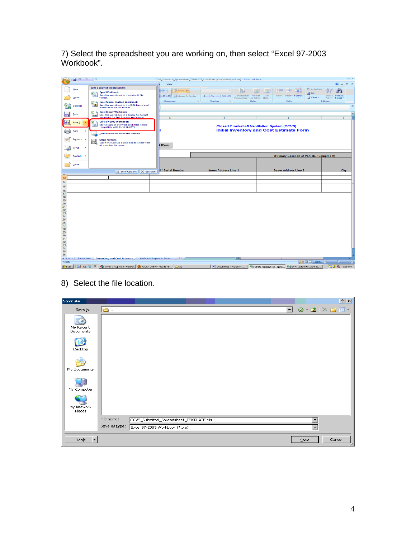7) Select the spreadsheet you are working on, then select "Excel 97-2003 Workbook".

|                   | $-1$ $-2 - 6i - 1 =$ |                       |                      |                                                                                                                                                 |                            |                             |                          | CCVS_Submittal_Spreadsheet_TEMPLATE_111407.xls [Compatibility Mode] - Microsoft Excel        |                                                        |        |      |        |                              |                                           |         |                                    |              |
|-------------------|----------------------|-----------------------|----------------------|-------------------------------------------------------------------------------------------------------------------------------------------------|----------------------------|-----------------------------|--------------------------|----------------------------------------------------------------------------------------------|--------------------------------------------------------|--------|------|--------|------------------------------|-------------------------------------------|---------|------------------------------------|--------------|
|                   |                      |                       |                      |                                                                                                                                                 |                            | View                        |                          |                                                                                              |                                                        |        |      |        |                              |                                           |         |                                    | <b>CTO</b>   |
|                   | New                  |                       |                      | Save a copy of the document                                                                                                                     |                            | $\mathcal{D}_{\mathcal{P}}$ | Wrap Text                |                                                                                              |                                                        |        |      |        |                              | Σ AutoSum *                               |         | m                                  |              |
|                   | Open                 | $\mathbb{R}$          | format.              | <b>Excel Workbook</b><br>Save the workbook in the default file                                                                                  |                            | 建装                          | Merge & Center           | $-$ % $  z_0^2 z_0^2$<br>$-$                                                                 | Conditional Format<br>Formatting * as Table * Styles * |        | Cell | Insert | Delete Format                | <b>B</b> Fill<br>2 Clear -                |         | Sort & Find &<br>Filter * Select * |              |
|                   | Convert              | $\sim$                |                      | <b>Excel Macro-Enabled Workbook</b><br>Save the workbook in the XML-based and<br>macro-enabled file format.                                     |                            | Alignment                   |                          | Number                                                                                       |                                                        | Styles |      |        | Cells                        |                                           | Editing |                                    | $\!\times\!$ |
| <b>TELEVISION</b> | Save                 | $\mathbf{r}$<br>12000 |                      | <b>Excel Binary Workbook</b><br>Save the workbook in a binary file format                                                                       |                            |                             |                          |                                                                                              |                                                        |        |      |        |                              |                                           |         |                                    | <b>v</b>     |
|                   | Save As              | ⊠                     |                      | optimized for fast loading and saving.<br>Excel 97-2003 Workbook<br>Save a copy of the workbook that is fully<br>compatible with Excel 97-2003. |                            | c                           |                          | D                                                                                            | <b>Closed Crankshaft Ventilation System (CCVS)</b>     |        |      |        | Ε                            |                                           |         | F                                  |              |
|                   | Print                | $-4 - 4 - 1$          |                      | <b>Find add-ins for other file formats</b>                                                                                                      |                            |                             |                          |                                                                                              | <b>Initial Inventory and Cost Estimate Form</b>        |        |      |        |                              |                                           |         |                                    |              |
|                   | Prepare              | R                     | <b>Other Formats</b> | Open the Save As dialog box to select from<br>all possible file types.                                                                          |                            | t Row                       |                          |                                                                                              |                                                        |        |      |        |                              |                                           |         |                                    |              |
|                   | 5en <u>d</u>         |                       |                      |                                                                                                                                                 |                            |                             |                          |                                                                                              |                                                        |        |      |        |                              |                                           |         |                                    |              |
|                   | Publish<br>ъ.        |                       |                      |                                                                                                                                                 |                            |                             |                          |                                                                                              |                                                        |        |      |        |                              | (Primary Location of Vehicle / Equipment) |         |                                    |              |
|                   | Close                |                       |                      |                                                                                                                                                 |                            |                             |                          |                                                                                              |                                                        |        |      |        |                              |                                           |         |                                    |              |
|                   |                      |                       |                      |                                                                                                                                                 | Excel Options X Exit Excel |                             | <b>N / Serial Number</b> | <b>Street Address Line 1</b>                                                                 |                                                        |        |      |        | <b>Street Address Line 2</b> |                                           |         | <b>City</b>                        |              |
| 1Z.<br>13         |                      |                       |                      |                                                                                                                                                 |                            |                             |                          |                                                                                              |                                                        |        |      |        |                              |                                           |         |                                    |              |
| 14                |                      |                       |                      |                                                                                                                                                 |                            |                             |                          |                                                                                              |                                                        |        |      |        |                              |                                           |         |                                    |              |
| 15                |                      |                       |                      |                                                                                                                                                 |                            |                             |                          |                                                                                              |                                                        |        |      |        |                              |                                           |         |                                    |              |
| 16                |                      |                       |                      |                                                                                                                                                 |                            |                             |                          |                                                                                              |                                                        |        |      |        |                              |                                           |         |                                    |              |
| 17<br>18          |                      |                       |                      |                                                                                                                                                 |                            |                             |                          |                                                                                              |                                                        |        |      |        |                              |                                           |         |                                    |              |
| 19                |                      |                       |                      |                                                                                                                                                 |                            |                             |                          |                                                                                              |                                                        |        |      |        |                              |                                           |         |                                    |              |
| 20<br>21          |                      |                       |                      |                                                                                                                                                 |                            |                             |                          |                                                                                              |                                                        |        |      |        |                              |                                           |         |                                    |              |
| 22                |                      |                       |                      |                                                                                                                                                 |                            |                             |                          |                                                                                              |                                                        |        |      |        |                              |                                           |         |                                    |              |
| 23<br>24          |                      |                       |                      |                                                                                                                                                 |                            |                             |                          |                                                                                              |                                                        |        |      |        |                              |                                           |         |                                    |              |
| 25                |                      |                       |                      |                                                                                                                                                 |                            |                             |                          |                                                                                              |                                                        |        |      |        |                              |                                           |         |                                    |              |
| 26<br>27          |                      |                       |                      |                                                                                                                                                 |                            |                             |                          |                                                                                              |                                                        |        |      |        |                              |                                           |         |                                    |              |
| 28                |                      |                       |                      |                                                                                                                                                 |                            |                             |                          |                                                                                              |                                                        |        |      |        |                              |                                           |         |                                    |              |
| 29<br>30          |                      |                       |                      |                                                                                                                                                 |                            |                             |                          |                                                                                              |                                                        |        |      |        |                              |                                           |         |                                    |              |
| 31                |                      |                       |                      |                                                                                                                                                 |                            |                             |                          |                                                                                              |                                                        |        |      |        |                              |                                           |         |                                    |              |
| 32                |                      |                       |                      |                                                                                                                                                 |                            |                             |                          |                                                                                              |                                                        |        |      |        |                              |                                           |         |                                    |              |
| 33<br>34          |                      |                       |                      |                                                                                                                                                 |                            |                             |                          |                                                                                              |                                                        |        |      |        |                              |                                           |         |                                    |              |
| 35                |                      |                       |                      |                                                                                                                                                 |                            |                             |                          |                                                                                              |                                                        |        |      |        |                              |                                           |         |                                    |              |
| 36                |                      |                       |                      | Instructions Inventory and Cost Estimate Validate & Prepare to Submit                                                                           |                            |                             | ு                        |                                                                                              |                                                        |        |      |        |                              |                                           |         |                                    |              |
| Ready             |                      |                       |                      |                                                                                                                                                 |                            |                             |                          |                                                                                              |                                                        |        |      |        |                              | ■ □ 凹 100% →                              |         | $\overline{v}$                     | $\bigoplus$  |
|                   |                      |                       |                      | <b>B</b> Start   [73 Fa W   <b>65</b> Novel GroupWise - Mailbox   <b>63</b> NJDEP Online - Mozila Fir   23                                      |                            |                             |                          | Document1 - Microsoft [69] CCVS Submitted Spre [69] BART Submittal Spread [77] 2 % % 3:26 PM |                                                        |        |      |        |                              |                                           |         |                                    |              |

8) Select the file location.

| Save As                           |               |                                         |      |                                                                                                                   | 2 X    |  |
|-----------------------------------|---------------|-----------------------------------------|------|-------------------------------------------------------------------------------------------------------------------|--------|--|
| Save in:                          | $\Box$        |                                         |      | $\boxed{\blacksquare}$ $\textcircled{\texttt{}} \cdot \textcircled{\texttt{1}} \times \textcircled{\texttt{r}}$ . |        |  |
| My Recent<br>Documents            |               |                                         |      |                                                                                                                   |        |  |
| Desktop                           |               |                                         |      |                                                                                                                   |        |  |
| My Documents                      |               |                                         |      |                                                                                                                   |        |  |
| My Computer                       |               |                                         |      |                                                                                                                   |        |  |
| My Network<br>Places              |               |                                         |      |                                                                                                                   |        |  |
|                                   | File name:    | CCVS_Submittal_Spreadsheet_TEMPLATE xls |      |                                                                                                                   |        |  |
|                                   | Save as type: | Excel 97-2003 Workbook (*.xls)          |      |                                                                                                                   |        |  |
| $\overline{\phantom{a}}$<br>Tools |               |                                         | Save |                                                                                                                   | Cancel |  |